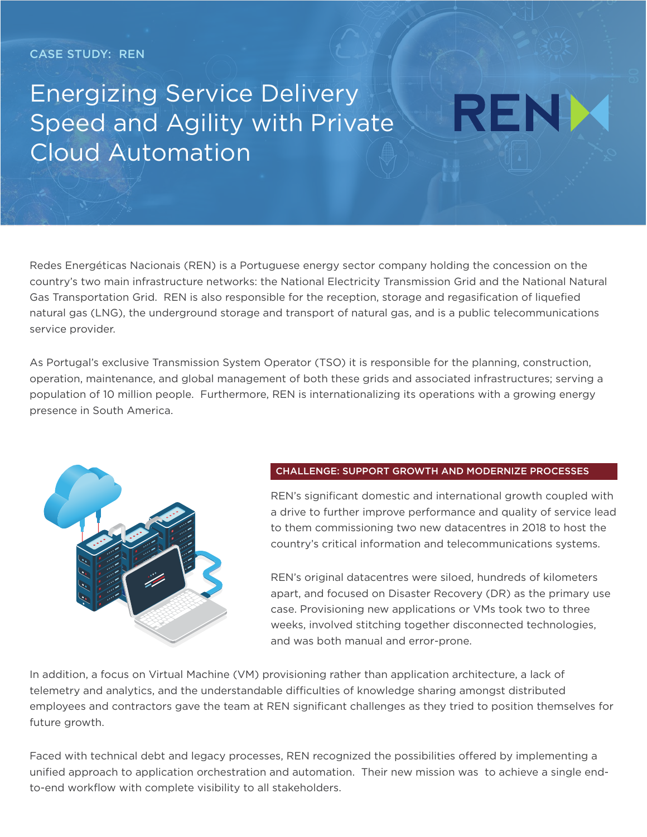# Energizing Service Delivery Speed and Agility with Private Cloud Automation

Redes Energéticas Nacionais (REN) is a Portuguese energy sector company holding the concession on the country's two main infrastructure networks: the National Electricity Transmission Grid and the National Natural Gas Transportation Grid. REN is also responsible for the reception, storage and regasification of liquefied natural gas (LNG), the underground storage and transport of natural gas, and is a public telecommunications service provider.

As Portugal's exclusive Transmission System Operator (TSO) it is responsible for the planning, construction, operation, maintenance, and global management of both these grids and associated infrastructures; serving a population of 10 million people. Furthermore, REN is internationalizing its operations with a growing energy presence in South America.



#### CHALLENGE: SUPPORT GROWTH AND MODERNIZE PROCESSES

REN's significant domestic and international growth coupled with a drive to further improve performance and quality of service lead to them commissioning two new datacentres in 2018 to host the country's critical information and telecommunications systems.

REND

REN's original datacentres were siloed, hundreds of kilometers apart, and focused on Disaster Recovery (DR) as the primary use case. Provisioning new applications or VMs took two to three weeks, involved stitching together disconnected technologies, and was both manual and error-prone.

In addition, a focus on Virtual Machine (VM) provisioning rather than application architecture, a lack of telemetry and analytics, and the understandable difficulties of knowledge sharing amongst distributed employees and contractors gave the team at REN significant challenges as they tried to position themselves for future growth.

Faced with technical debt and legacy processes, REN recognized the possibilities offered by implementing a unified approach to application orchestration and automation. Their new mission was to achieve a single endto-end workflow with complete visibility to all stakeholders.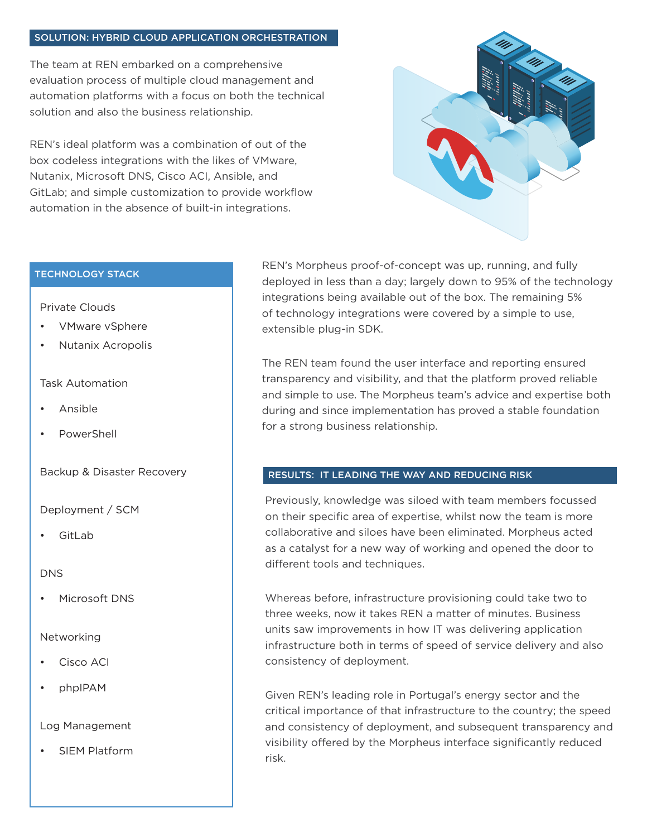#### SOLUTION: HYBRID CLOUD APPLICATION ORCHESTRATION

The team at REN embarked on a comprehensive evaluation process of multiple cloud management and automation platforms with a focus on both the technical solution and also the business relationship.

REN's ideal platform was a combination of out of the box codeless integrations with the likes of VMware, Nutanix, Microsoft DNS, Cisco ACI, Ansible, and GitLab; and simple customization to provide workflow automation in the absence of built-in integrations.



#### Private Clouds

- VMware vSphere
- Nutanix Acropolis

# Task Automation

- Ansible
- PowerShell

Backup & Disaster Recovery

# Deployment / SCM

**GitLab** 

# DNS

• Microsoft DNS

# Networking

- Cisco ACI
- phpIPAM

# Log Management

SIEM Platform

TECHNOLOGY STACK REN's Morpheus proof-of-concept was up, running, and fully deployed in less than a day; largely down to 95% of the technology integrations being available out of the box. The remaining 5% of technology integrations were covered by a simple to use, extensible plug-in SDK.

> The REN team found the user interface and reporting ensured transparency and visibility, and that the platform proved reliable and simple to use. The Morpheus team's advice and expertise both during and since implementation has proved a stable foundation for a strong business relationship.

# RESULTS: IT LEADING THE WAY AND REDUCING RISK

Previously, knowledge was siloed with team members focussed on their specific area of expertise, whilst now the team is more collaborative and siloes have been eliminated. Morpheus acted as a catalyst for a new way of working and opened the door to different tools and techniques.

Whereas before, infrastructure provisioning could take two to three weeks, now it takes REN a matter of minutes. Business units saw improvements in how IT was delivering application infrastructure both in terms of speed of service delivery and also consistency of deployment.

Given REN's leading role in Portugal's energy sector and the critical importance of that infrastructure to the country; the speed and consistency of deployment, and subsequent transparency and visibility offered by the Morpheus interface significantly reduced risk.